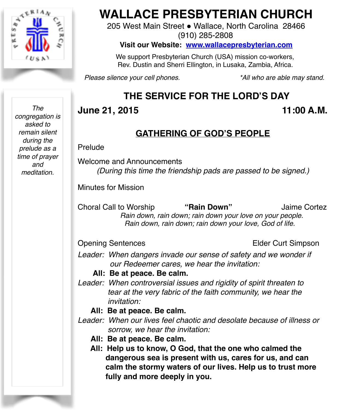

**WALLACE PRESBYTERIAN CHURCH**

205 West Main Street . Wallace, North Carolina 28466 (910) 285-2808

**Visit our Website: [www.wallacepresbyterian.com](http://www.wallacepresbyterian.com)**

 We support Presbyterian Church (USA) mission co-workers, Rev. Dustin and Sherri Ellington, in Lusaka, Zambia, Africa.

*Please silence your cell phones. \*All who are able may stand.*

# **THE SERVICE FOR THE LORD'S DAY**

# **June 21, 2015 11:00 A.M.**

## **GATHERING OF GOD'S PEOPLE**

### Prelude

Welcome and Announcements *(During this time the friendship pads are passed to be signed.)*

Minutes for Mission

Choral Call to Worship **"Rain Down"** Jaime Cortez  *Rain down, rain down; rain down your love on your people. Rain down, rain down; rain down your love, God of life.*

Opening Sentences **Elder Curt Simpson** 

Leader: When dangers invade our sense of safety and we wonder if  *our Redeemer cares, we hear the invitation:*

**All: Be at peace. Be calm.**

- *Leader: When controversial issues and rigidity of spirit threaten to tear at the very fabric of the faith community, we hear the invitation:*
	- **All: Be at peace. Be calm.**
- *Leader: When our lives feel chaotic and desolate because of illness or sorrow, we hear the invitation:*
	- **All: Be at peace. Be calm.**
	- **All: Help us to know, O God, that the one who calmed the dangerous sea is present with us, cares for us, and can calm the stormy waters of our lives. Help us to trust more fully and more deeply in you.**

*The congregation is asked to remain silent during the prelude as a time of prayer and meditation.*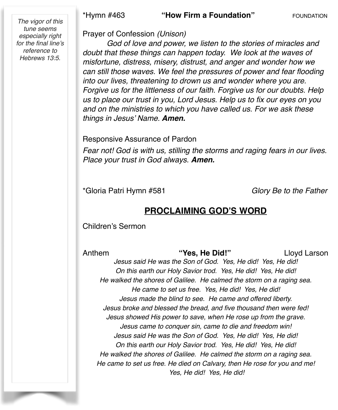\*Hymn #463 **"How Firm a Foundation"** FOUNDATION

*The vigor of this tune seems especially right for the final line's reference to Hebrews 13:5.*

#### Prayer of Confession *(Unison)*

*God of love and power, we listen to the stories of miracles and doubt that these things can happen today. We look at the waves of misfortune, distress, misery, distrust, and anger and wonder how we can still those waves. We feel the pressures of power and fear flooding into our lives, threatening to drown us and wonder where you are. Forgive us for the littleness of our faith. Forgive us for our doubts. Help us to place our trust in you, Lord Jesus. Help us to fix our eyes on you and on the ministries to which you have called us. For we ask these things in Jesus' Name. Amen.*

#### Responsive Assurance of Pardon

*Fear not! God is with us, stilling the storms and raging fears in our lives. Place your trust in God always. Amen.*

\*Gloria Patri Hymn #581 *Glory Be to the Father*

### **PROCLAIMING GOD'S WORD**

Children's Sermon

Anthem **"Yes, He Did!"** Lloyd Larson *Jesus said He was the Son of God. Yes, He did! Yes, He did! On this earth our Holy Savior trod. Yes, He did! Yes, He did! He walked the shores of Galilee. He calmed the storm on a raging sea. He came to set us free. Yes, He did! Yes, He did! Jesus made the blind to see. He came and offered liberty. Jesus broke and blessed the bread, and five thousand then were fed! Jesus showed His power to save, when He rose up from the grave. Jesus came to conquer sin, came to die and freedom win! Jesus said He was the Son of God. Yes, He did! Yes, He did! On this earth our Holy Savior trod. Yes, He did! Yes, He did! He walked the shores of Galilee. He calmed the storm on a raging sea. He came to set us free. He died on Calvary, then He rose for you and me! Yes, He did! Yes, He did!*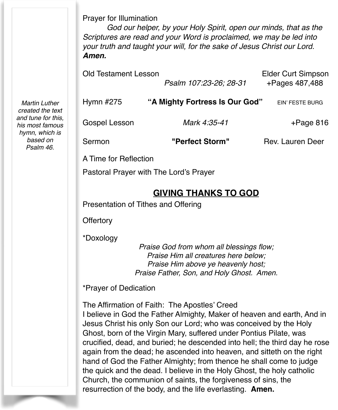Prayer for Illumination

*God our helper, by your Holy Spirit, open our minds, that as the Scriptures are read and your Word is proclaimed, we may be led into your truth and taught your will, for the sake of Jesus Christ our Lord. Amen.*

| <b>Old Testament Lesson</b>            | Psalm 107:23-26; 28-31         | <b>Elder Curt Simpson</b><br>+Pages 487,488 |
|----------------------------------------|--------------------------------|---------------------------------------------|
|                                        |                                |                                             |
| Hymn #275                              | "A Mighty Fortress Is Our God" | EIN' FESTE BURG                             |
| Gospel Lesson                          | Mark 4:35-41                   | $+$ Page 816                                |
| Sermon                                 | "Perfect Storm"                | Rev. Lauren Deer                            |
| A Time for Reflection                  |                                |                                             |
| Pastoral Prayer with The Lord's Prayer |                                |                                             |

## **GIVING THANKS TO GOD**

Presentation of Tithes and Offering

**Offertory** 

\*Doxology

*Praise God from whom all blessings flow; Praise Him all creatures here below; Praise Him above ye heavenly host; Praise Father, Son, and Holy Ghost. Amen.*

\*Prayer of Dedication

The Affirmation of Faith: The Apostles' Creed I believe in God the Father Almighty, Maker of heaven and earth, And in Jesus Christ his only Son our Lord; who was conceived by the Holy Ghost, born of the Virgin Mary, suffered under Pontius Pilate, was crucified, dead, and buried; he descended into hell; the third day he rose again from the dead; he ascended into heaven, and sitteth on the right hand of God the Father Almighty; from thence he shall come to judge the quick and the dead. I believe in the Holy Ghost, the holy catholic Church, the communion of saints, the forgiveness of sins, the resurrection of the body, and the life everlasting. **Amen.**

*Martin Luther created the text and tune for this, his most famous hymn, which is based on Psalm 46.*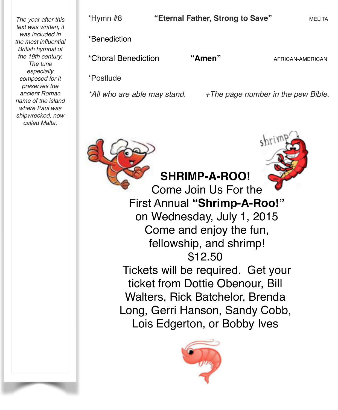*The year after this text was written, it was included in the most influential British hymnal of the 19th century. The tune especially composed for it preserves the ancient Roman name of the island where Paul was shipwrecked, now called Malta.*

\*Hymn #8 **"Eternal Father, Strong to Save"** MELITA \*Benediction \*Choral Benediction **"Amen"** AFRICAN-AMERICAN \*Postlude

*\*All who are able may stand. +The page number in the pew Bible.*

**SHRIMP-A-ROO!** Come Join Us For the First Annual **"Shrimp-A-Roo!"** on Wednesday, July 1, 2015 Come and enjoy the fun, fellowship, and shrimp! \$12.50 Tickets will be required. Get your ticket from Dottie Obenour, Bill Walters, Rick Batchelor, Brenda Long, Gerri Hanson, Sandy Cobb, Lois Edgerton, or Bobby Ives

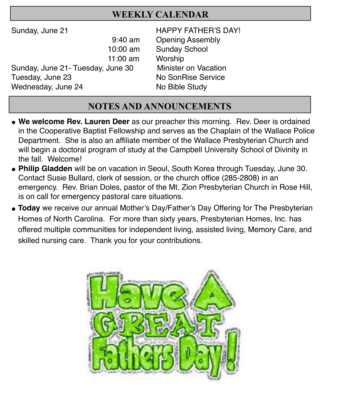## **WEEKLY CALENDAR**

- 11:00 am Worship Sunday, June 21- Tuesday, June 30 Minister on Vacation Tuesday, June 23 ! ! ! ! No SonRise Service Wednesday, June 24 No Bible Study !!!
- Sunday, June 21 **BEE** HAPPY FATHER'S DAY! 9:40 am Opening Assembly 10:00 am Sunday School

# **NOTES AND ANNOUNCEMENTS**

- **" We welcome Rev. Lauren Deer** as our preacher this morning. Rev. Deer is ordained in the Cooperative Baptist Fellowship and serves as the Chaplain of the Wallace Police Department. She is also an affiliate member of the Wallace Presbyterian Church and will begin a doctoral program of study at the Campbell University School of Divinity in the fall. Welcome!
- **" Philip Gladden** will be on vacation in Seoul, South Korea through Tuesday, June 30. Contact Susie Bullard, clerk of session, or the church office (285-2808) in an emergency. Rev. Brian Doles, pastor of the Mt. Zion Presbyterian Church in Rose Hill, is on call for emergency pastoral care situations.
- **Today** we receive our annual Mother's Day/Father's Day Offering for The Presbyterian Homes of North Carolina. For more than sixty years, Presbyterian Homes, Inc. has offered multiple communities for independent living, assisted living, Memory Care, and skilled nursing care. Thank you for your contributions.